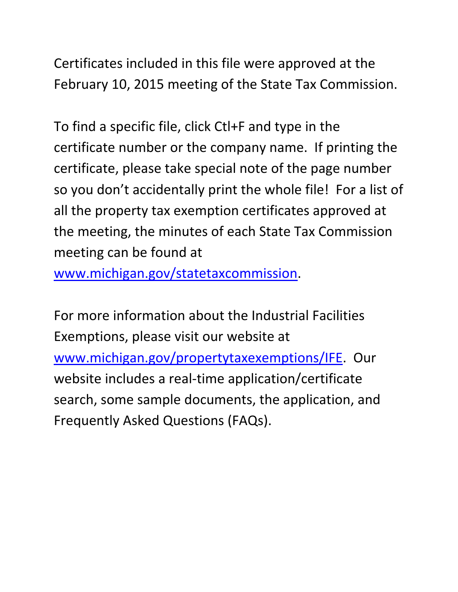Certificates included in this file were approved at the February 10, 2015 meeting of the State Tax Commission.

To find a specific file, click Ctl+F and type in the certificate number or the company name. If printing the certificate, please take special note of the page number so you don't accidentally print the whole file! For a list of all the property tax exemption certificates approved at the meeting, the minutes of each State Tax Commission meeting can be found at

www.michigan.gov/statetaxcommission.

For more information about the Industrial Facilities Exemptions, please visit our website at www.michigan.gov/propertytaxexemptions/IFE. Our website includes a real-time application/certificate search, some sample documents, the application, and Frequently Asked Questions (FAQs).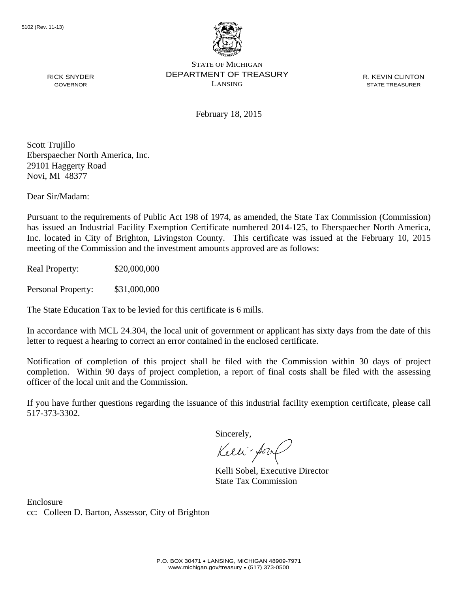

R. KEVIN CLINTON STATE TREASURER

February 18, 2015

Scott Trujillo Eberspaecher North America, Inc. 29101 Haggerty Road Novi, MI 48377

RICK SNYDER GOVERNOR

Dear Sir/Madam:

Pursuant to the requirements of Public Act 198 of 1974, as amended, the State Tax Commission (Commission) has issued an Industrial Facility Exemption Certificate numbered 2014-125, to Eberspaecher North America, Inc. located in City of Brighton, Livingston County. This certificate was issued at the February 10, 2015 meeting of the Commission and the investment amounts approved are as follows:

Real Property: \$20,000,000

Personal Property: \$31,000,000

The State Education Tax to be levied for this certificate is 6 mills.

In accordance with MCL 24.304, the local unit of government or applicant has sixty days from the date of this letter to request a hearing to correct an error contained in the enclosed certificate.

Notification of completion of this project shall be filed with the Commission within 30 days of project completion. Within 90 days of project completion, a report of final costs shall be filed with the assessing officer of the local unit and the Commission.

If you have further questions regarding the issuance of this industrial facility exemption certificate, please call 517-373-3302.

Sincerely,

Kelli-Sory

Kelli Sobel, Executive Director State Tax Commission

Enclosure cc: Colleen D. Barton, Assessor, City of Brighton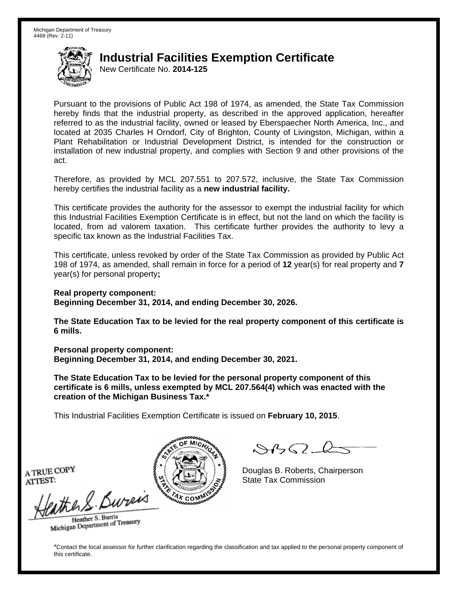New Certificate No. **2014-125**

Pursuant to the provisions of Public Act 198 of 1974, as amended, the State Tax Commission hereby finds that the industrial property, as described in the approved application, hereafter referred to as the industrial facility, owned or leased by Eberspaecher North America, Inc., and located at 2035 Charles H Orndorf, City of Brighton, County of Livingston, Michigan, within a Plant Rehabilitation or Industrial Development District, is intended for the construction or installation of new industrial property, and complies with Section 9 and other provisions of the act.

Therefore, as provided by MCL 207.551 to 207.572, inclusive, the State Tax Commission hereby certifies the industrial facility as a **new industrial facility.**

This certificate provides the authority for the assessor to exempt the industrial facility for which this Industrial Facilities Exemption Certificate is in effect, but not the land on which the facility is located, from ad valorem taxation. This certificate further provides the authority to levy a specific tax known as the Industrial Facilities Tax.

This certificate, unless revoked by order of the State Tax Commission as provided by Public Act 198 of 1974, as amended, shall remain in force for a period of **12** year(s) for real property and **7** year(s) for personal property**;** 

**Real property component: Beginning December 31, 2014, and ending December 30, 2026.** 

**The State Education Tax to be levied for the real property component of this certificate is 6 mills.**

**Personal property component: Beginning December 31, 2014, and ending December 30, 2021.** 

**The State Education Tax to be levied for the personal property component of this certificate is 6 mills, unless exempted by MCL 207.564(4) which was enacted with the creation of the Michigan Business Tax.\***

This Industrial Facilities Exemption Certificate is issued on **February 10, 2015**.

 $\mathcal{A}_{1} \cap \mathcal{L}_{2}$ 

Douglas B. Roberts, Chairperson A TRUE COPY  $\left\{\mathbb{S} \setminus \left\{\{\pm 1\}\}\right\}\right\}$  Douglas B. Roberts, Charles T.

the & Bureis Heather S. Burris

Heather S. Buris<br>Michigan Department of Treasury

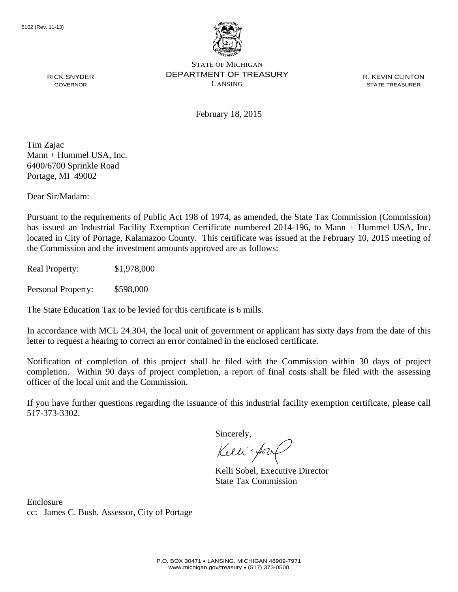

R. KEVIN CLINTON STATE TREASURER

February 18, 2015

Tim Zajac Mann + Hummel USA, Inc. 6400/6700 Sprinkle Road Portage, MI 49002

RICK SNYDER GOVERNOR

Dear Sir/Madam:

Pursuant to the requirements of Public Act 198 of 1974, as amended, the State Tax Commission (Commission) has issued an Industrial Facility Exemption Certificate numbered 2014-196, to Mann + Hummel USA, Inc. located in City of Portage, Kalamazoo County. This certificate was issued at the February 10, 2015 meeting of the Commission and the investment amounts approved are as follows:

Real Property: \$1,978,000

Personal Property: \$598,000

The State Education Tax to be levied for this certificate is 6 mills.

In accordance with MCL 24.304, the local unit of government or applicant has sixty days from the date of this letter to request a hearing to correct an error contained in the enclosed certificate.

Notification of completion of this project shall be filed with the Commission within 30 days of project completion. Within 90 days of project completion, a report of final costs shall be filed with the assessing officer of the local unit and the Commission.

If you have further questions regarding the issuance of this industrial facility exemption certificate, please call 517-373-3302.

Sincerely,

Kelli-Sory

Kelli Sobel, Executive Director State Tax Commission

Enclosure cc: James C. Bush, Assessor, City of Portage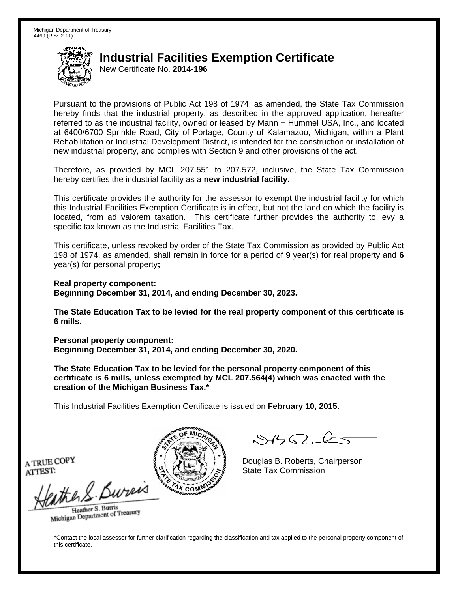New Certificate No. **2014-196**

Pursuant to the provisions of Public Act 198 of 1974, as amended, the State Tax Commission hereby finds that the industrial property, as described in the approved application, hereafter referred to as the industrial facility, owned or leased by Mann + Hummel USA, Inc., and located at 6400/6700 Sprinkle Road, City of Portage, County of Kalamazoo, Michigan, within a Plant Rehabilitation or Industrial Development District, is intended for the construction or installation of new industrial property, and complies with Section 9 and other provisions of the act.

Therefore, as provided by MCL 207.551 to 207.572, inclusive, the State Tax Commission hereby certifies the industrial facility as a **new industrial facility.**

This certificate provides the authority for the assessor to exempt the industrial facility for which this Industrial Facilities Exemption Certificate is in effect, but not the land on which the facility is located, from ad valorem taxation. This certificate further provides the authority to levy a specific tax known as the Industrial Facilities Tax.

This certificate, unless revoked by order of the State Tax Commission as provided by Public Act 198 of 1974, as amended, shall remain in force for a period of **9** year(s) for real property and **6** year(s) for personal property**;** 

**Real property component: Beginning December 31, 2014, and ending December 30, 2023.** 

**The State Education Tax to be levied for the real property component of this certificate is 6 mills.**

**Personal property component: Beginning December 31, 2014, and ending December 30, 2020.** 

**The State Education Tax to be levied for the personal property component of this certificate is 6 mills, unless exempted by MCL 207.564(4) which was enacted with the creation of the Michigan Business Tax.\***

This Industrial Facilities Exemption Certificate is issued on **February 10, 2015**.

 $\mathcal{S}4\mathcal{G}$ 

Douglas B. Roberts, Chairperson

Heather S. Burris Heather S. Buris<br>Michigan Department of Treasury

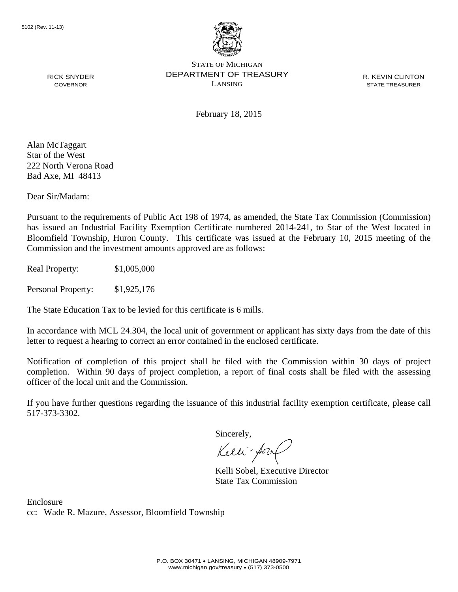

R. KEVIN CLINTON STATE TREASURER

February 18, 2015

Alan McTaggart Star of the West 222 North Verona Road Bad Axe, MI 48413

RICK SNYDER GOVERNOR

Dear Sir/Madam:

Pursuant to the requirements of Public Act 198 of 1974, as amended, the State Tax Commission (Commission) has issued an Industrial Facility Exemption Certificate numbered 2014-241, to Star of the West located in Bloomfield Township, Huron County. This certificate was issued at the February 10, 2015 meeting of the Commission and the investment amounts approved are as follows:

Real Property: \$1,005,000

Personal Property: \$1,925,176

The State Education Tax to be levied for this certificate is 6 mills.

In accordance with MCL 24.304, the local unit of government or applicant has sixty days from the date of this letter to request a hearing to correct an error contained in the enclosed certificate.

Notification of completion of this project shall be filed with the Commission within 30 days of project completion. Within 90 days of project completion, a report of final costs shall be filed with the assessing officer of the local unit and the Commission.

If you have further questions regarding the issuance of this industrial facility exemption certificate, please call 517-373-3302.

Sincerely,

Kelli-Sorr

Kelli Sobel, Executive Director State Tax Commission

Enclosure cc: Wade R. Mazure, Assessor, Bloomfield Township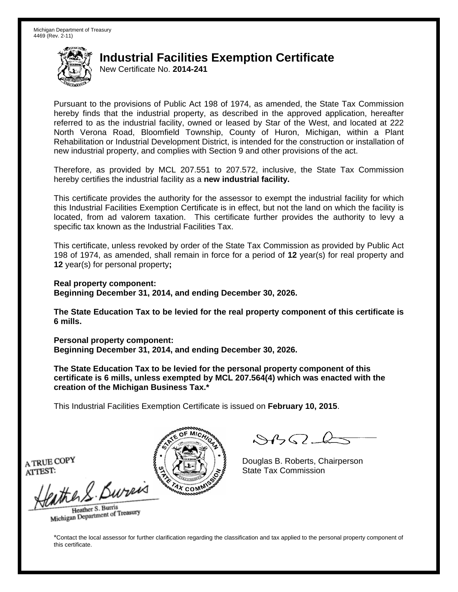New Certificate No. **2014-241**

Pursuant to the provisions of Public Act 198 of 1974, as amended, the State Tax Commission hereby finds that the industrial property, as described in the approved application, hereafter referred to as the industrial facility, owned or leased by Star of the West, and located at 222 North Verona Road, Bloomfield Township, County of Huron, Michigan, within a Plant Rehabilitation or Industrial Development District, is intended for the construction or installation of new industrial property, and complies with Section 9 and other provisions of the act.

Therefore, as provided by MCL 207.551 to 207.572, inclusive, the State Tax Commission hereby certifies the industrial facility as a **new industrial facility.**

This certificate provides the authority for the assessor to exempt the industrial facility for which this Industrial Facilities Exemption Certificate is in effect, but not the land on which the facility is located, from ad valorem taxation. This certificate further provides the authority to levy a specific tax known as the Industrial Facilities Tax.

This certificate, unless revoked by order of the State Tax Commission as provided by Public Act 198 of 1974, as amended, shall remain in force for a period of **12** year(s) for real property and **12** year(s) for personal property**;** 

**Real property component: Beginning December 31, 2014, and ending December 30, 2026.** 

**The State Education Tax to be levied for the real property component of this certificate is 6 mills.**

**Personal property component: Beginning December 31, 2014, and ending December 30, 2026.** 

**The State Education Tax to be levied for the personal property component of this certificate is 6 mills, unless exempted by MCL 207.564(4) which was enacted with the creation of the Michigan Business Tax.\***

This Industrial Facilities Exemption Certificate is issued on **February 10, 2015**.

 $\mathcal{S}4$ 

Douglas B. Roberts, Chairperson

Heather S. Burris Heather S. Buris<br>Michigan Department of Treasury

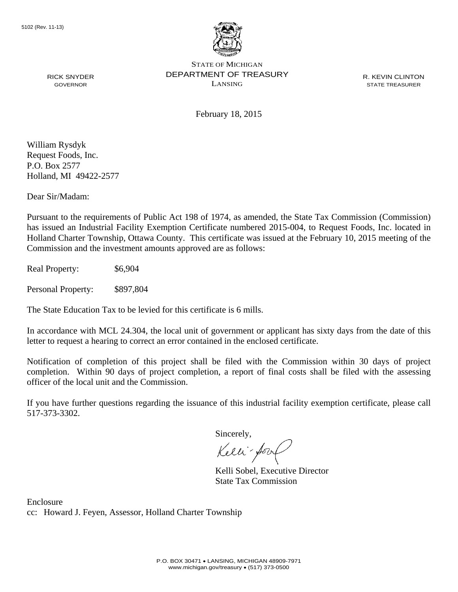

R. KEVIN CLINTON STATE TREASURER

February 18, 2015

William Rysdyk Request Foods, Inc. P.O. Box 2577 Holland, MI 49422-2577

RICK SNYDER GOVERNOR

Dear Sir/Madam:

Pursuant to the requirements of Public Act 198 of 1974, as amended, the State Tax Commission (Commission) has issued an Industrial Facility Exemption Certificate numbered 2015-004, to Request Foods, Inc. located in Holland Charter Township, Ottawa County. This certificate was issued at the February 10, 2015 meeting of the Commission and the investment amounts approved are as follows:

Real Property:  $$6,904$ 

Personal Property: \$897,804

The State Education Tax to be levied for this certificate is 6 mills.

In accordance with MCL 24.304, the local unit of government or applicant has sixty days from the date of this letter to request a hearing to correct an error contained in the enclosed certificate.

Notification of completion of this project shall be filed with the Commission within 30 days of project completion. Within 90 days of project completion, a report of final costs shall be filed with the assessing officer of the local unit and the Commission.

If you have further questions regarding the issuance of this industrial facility exemption certificate, please call 517-373-3302.

Sincerely,

Kelli-Sory

Kelli Sobel, Executive Director State Tax Commission

Enclosure cc: Howard J. Feyen, Assessor, Holland Charter Township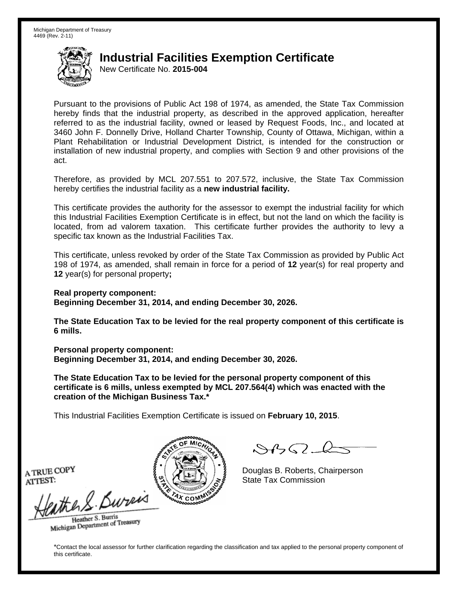New Certificate No. **2015-004**

Pursuant to the provisions of Public Act 198 of 1974, as amended, the State Tax Commission hereby finds that the industrial property, as described in the approved application, hereafter referred to as the industrial facility, owned or leased by Request Foods, Inc., and located at 3460 John F. Donnelly Drive, Holland Charter Township, County of Ottawa, Michigan, within a Plant Rehabilitation or Industrial Development District, is intended for the construction or installation of new industrial property, and complies with Section 9 and other provisions of the act.

Therefore, as provided by MCL 207.551 to 207.572, inclusive, the State Tax Commission hereby certifies the industrial facility as a **new industrial facility.**

This certificate provides the authority for the assessor to exempt the industrial facility for which this Industrial Facilities Exemption Certificate is in effect, but not the land on which the facility is located, from ad valorem taxation. This certificate further provides the authority to levy a specific tax known as the Industrial Facilities Tax.

This certificate, unless revoked by order of the State Tax Commission as provided by Public Act 198 of 1974, as amended, shall remain in force for a period of **12** year(s) for real property and **12** year(s) for personal property**;** 

**Real property component: Beginning December 31, 2014, and ending December 30, 2026.** 

**The State Education Tax to be levied for the real property component of this certificate is 6 mills.**

**Personal property component: Beginning December 31, 2014, and ending December 30, 2026.** 

**The State Education Tax to be levied for the personal property component of this certificate is 6 mills, unless exempted by MCL 207.564(4) which was enacted with the creation of the Michigan Business Tax.\***

This Industrial Facilities Exemption Certificate is issued on **February 10, 2015**.

 $\mathcal{A}_{1} \cap \mathcal{L}_{2}$ 

Douglas B. Roberts, Chairperson A TRUE COPY  $\left\{\mathbb{S} \setminus \left\{\{\pm 1\}\}\right\}\right\}$  Douglas B. Roberts, Charles T.

the & Bureis Heather S. Burris

Heather S. Buris<br>Michigan Department of Treasury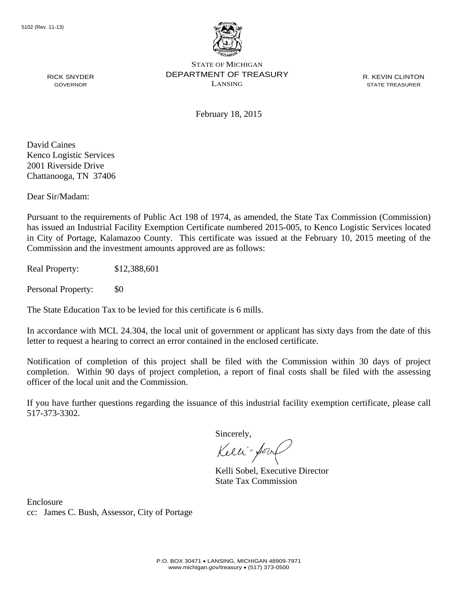

R. KEVIN CLINTON STATE TREASURER

February 18, 2015

David Caines Kenco Logistic Services 2001 Riverside Drive Chattanooga, TN 37406

RICK SNYDER GOVERNOR

Dear Sir/Madam:

Pursuant to the requirements of Public Act 198 of 1974, as amended, the State Tax Commission (Commission) has issued an Industrial Facility Exemption Certificate numbered 2015-005, to Kenco Logistic Services located in City of Portage, Kalamazoo County. This certificate was issued at the February 10, 2015 meeting of the Commission and the investment amounts approved are as follows:

Real Property: \$12,388,601

Personal Property: \$0

The State Education Tax to be levied for this certificate is 6 mills.

In accordance with MCL 24.304, the local unit of government or applicant has sixty days from the date of this letter to request a hearing to correct an error contained in the enclosed certificate.

Notification of completion of this project shall be filed with the Commission within 30 days of project completion. Within 90 days of project completion, a report of final costs shall be filed with the assessing officer of the local unit and the Commission.

If you have further questions regarding the issuance of this industrial facility exemption certificate, please call 517-373-3302.

Sincerely,

Kelli-Sorr

Kelli Sobel, Executive Director State Tax Commission

Enclosure cc: James C. Bush, Assessor, City of Portage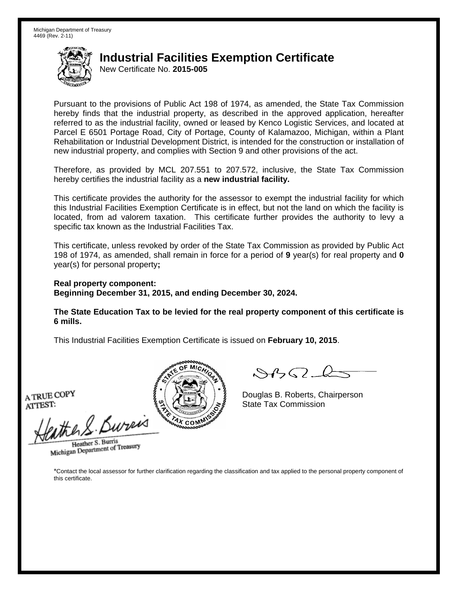New Certificate No. **2015-005**

Pursuant to the provisions of Public Act 198 of 1974, as amended, the State Tax Commission hereby finds that the industrial property, as described in the approved application, hereafter referred to as the industrial facility, owned or leased by Kenco Logistic Services, and located at Parcel E 6501 Portage Road, City of Portage, County of Kalamazoo, Michigan, within a Plant Rehabilitation or Industrial Development District, is intended for the construction or installation of new industrial property, and complies with Section 9 and other provisions of the act.

Therefore, as provided by MCL 207.551 to 207.572, inclusive, the State Tax Commission hereby certifies the industrial facility as a **new industrial facility.**

This certificate provides the authority for the assessor to exempt the industrial facility for which this Industrial Facilities Exemption Certificate is in effect, but not the land on which the facility is located, from ad valorem taxation. This certificate further provides the authority to levy a specific tax known as the Industrial Facilities Tax.

This certificate, unless revoked by order of the State Tax Commission as provided by Public Act 198 of 1974, as amended, shall remain in force for a period of **9** year(s) for real property and **0** year(s) for personal property**;** 

**Real property component: Beginning December 31, 2015, and ending December 30, 2024.** 

**The State Education Tax to be levied for the real property component of this certificate is 6 mills.**

This Industrial Facilities Exemption Certificate is issued on **February 10, 2015**.

the S. Bures

Heather S. Burris Heather S. Buris<br>Michigan Department of Treasury



 $\mathcal{A}$ 

Douglas B. Roberts, Chairperson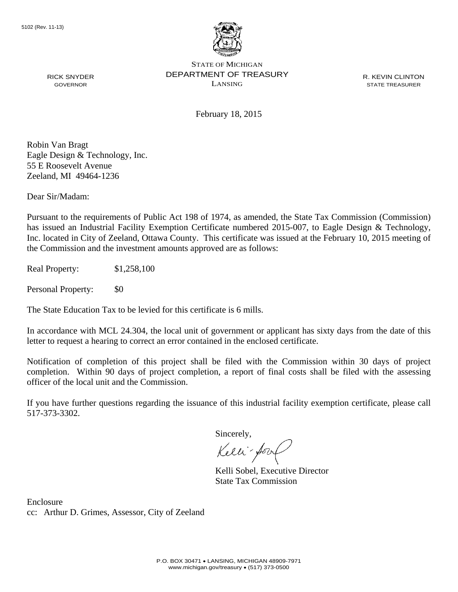

R. KEVIN CLINTON STATE TREASURER

February 18, 2015

Robin Van Bragt Eagle Design & Technology, Inc. 55 E Roosevelt Avenue Zeeland, MI 49464-1236

RICK SNYDER GOVERNOR

Dear Sir/Madam:

Pursuant to the requirements of Public Act 198 of 1974, as amended, the State Tax Commission (Commission) has issued an Industrial Facility Exemption Certificate numbered 2015-007, to Eagle Design & Technology, Inc. located in City of Zeeland, Ottawa County. This certificate was issued at the February 10, 2015 meeting of the Commission and the investment amounts approved are as follows:

Real Property: \$1,258,100

Personal Property: \$0

The State Education Tax to be levied for this certificate is 6 mills.

In accordance with MCL 24.304, the local unit of government or applicant has sixty days from the date of this letter to request a hearing to correct an error contained in the enclosed certificate.

Notification of completion of this project shall be filed with the Commission within 30 days of project completion. Within 90 days of project completion, a report of final costs shall be filed with the assessing officer of the local unit and the Commission.

If you have further questions regarding the issuance of this industrial facility exemption certificate, please call 517-373-3302.

Sincerely,

Kelli-Sorr

Kelli Sobel, Executive Director State Tax Commission

Enclosure cc: Arthur D. Grimes, Assessor, City of Zeeland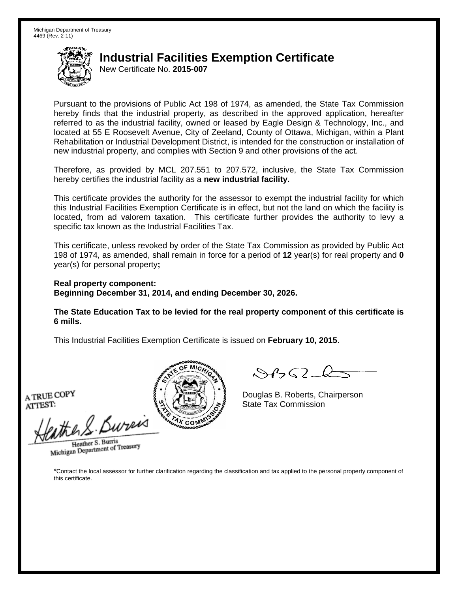New Certificate No. **2015-007**

Pursuant to the provisions of Public Act 198 of 1974, as amended, the State Tax Commission hereby finds that the industrial property, as described in the approved application, hereafter referred to as the industrial facility, owned or leased by Eagle Design & Technology, Inc., and located at 55 E Roosevelt Avenue, City of Zeeland, County of Ottawa, Michigan, within a Plant Rehabilitation or Industrial Development District, is intended for the construction or installation of new industrial property, and complies with Section 9 and other provisions of the act.

Therefore, as provided by MCL 207.551 to 207.572, inclusive, the State Tax Commission hereby certifies the industrial facility as a **new industrial facility.**

This certificate provides the authority for the assessor to exempt the industrial facility for which this Industrial Facilities Exemption Certificate is in effect, but not the land on which the facility is located, from ad valorem taxation. This certificate further provides the authority to levy a specific tax known as the Industrial Facilities Tax.

This certificate, unless revoked by order of the State Tax Commission as provided by Public Act 198 of 1974, as amended, shall remain in force for a period of **12** year(s) for real property and **0** year(s) for personal property**;** 

**Real property component: Beginning December 31, 2014, and ending December 30, 2026.** 

**The State Education Tax to be levied for the real property component of this certificate is 6 mills.**

This Industrial Facilities Exemption Certificate is issued on **February 10, 2015**.

the S. Bures

Heather S. Burris Heather S. Buris<br>Michigan Department of Treasury



 $\mathcal{A}$ 

Douglas B. Roberts, Chairperson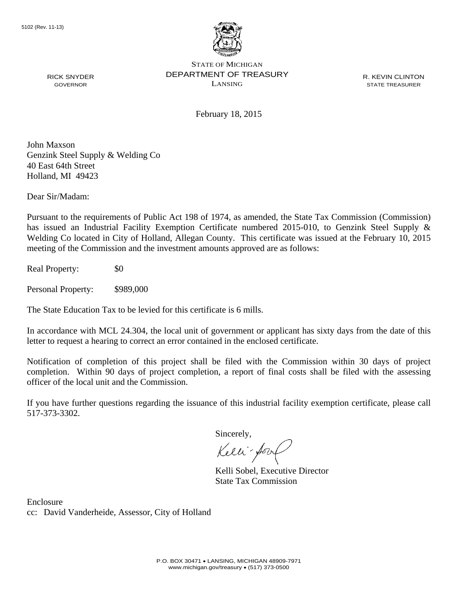

R. KEVIN CLINTON STATE TREASURER

February 18, 2015

John Maxson Genzink Steel Supply & Welding Co 40 East 64th Street Holland, MI 49423

Dear Sir/Madam:

RICK SNYDER GOVERNOR

Pursuant to the requirements of Public Act 198 of 1974, as amended, the State Tax Commission (Commission) has issued an Industrial Facility Exemption Certificate numbered 2015-010, to Genzink Steel Supply & Welding Co located in City of Holland, Allegan County. This certificate was issued at the February 10, 2015 meeting of the Commission and the investment amounts approved are as follows:

Real Property: \$0

Personal Property: \$989,000

The State Education Tax to be levied for this certificate is 6 mills.

In accordance with MCL 24.304, the local unit of government or applicant has sixty days from the date of this letter to request a hearing to correct an error contained in the enclosed certificate.

Notification of completion of this project shall be filed with the Commission within 30 days of project completion. Within 90 days of project completion, a report of final costs shall be filed with the assessing officer of the local unit and the Commission.

If you have further questions regarding the issuance of this industrial facility exemption certificate, please call 517-373-3302.

Sincerely,

Kelli-Sorr

Kelli Sobel, Executive Director State Tax Commission

Enclosure cc: David Vanderheide, Assessor, City of Holland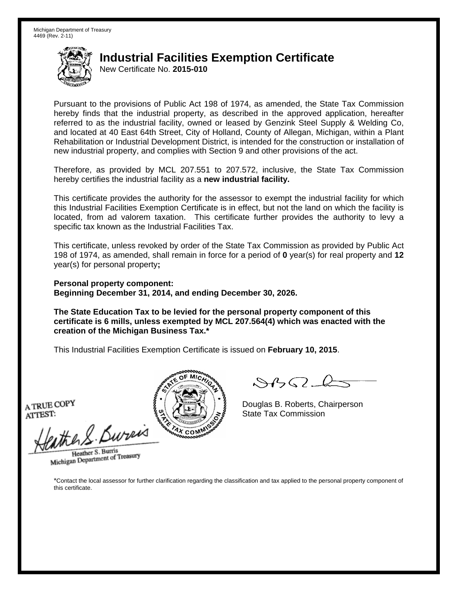New Certificate No. **2015-010**

Pursuant to the provisions of Public Act 198 of 1974, as amended, the State Tax Commission hereby finds that the industrial property, as described in the approved application, hereafter referred to as the industrial facility, owned or leased by Genzink Steel Supply & Welding Co, and located at 40 East 64th Street, City of Holland, County of Allegan, Michigan, within a Plant Rehabilitation or Industrial Development District, is intended for the construction or installation of new industrial property, and complies with Section 9 and other provisions of the act.

Therefore, as provided by MCL 207.551 to 207.572, inclusive, the State Tax Commission hereby certifies the industrial facility as a **new industrial facility.**

This certificate provides the authority for the assessor to exempt the industrial facility for which this Industrial Facilities Exemption Certificate is in effect, but not the land on which the facility is located, from ad valorem taxation. This certificate further provides the authority to levy a specific tax known as the Industrial Facilities Tax.

This certificate, unless revoked by order of the State Tax Commission as provided by Public Act 198 of 1974, as amended, shall remain in force for a period of **0** year(s) for real property and **12** year(s) for personal property**;** 

**Personal property component: Beginning December 31, 2014, and ending December 30, 2026.** 

**The State Education Tax to be levied for the personal property component of this certificate is 6 mills, unless exempted by MCL 207.564(4) which was enacted with the creation of the Michigan Business Tax.\***

This Industrial Facilities Exemption Certificate is issued on **February 10, 2015**.

ATRUE COPY<br>ATTEST: State Tax Commission<br>Hattle & Burreis

Heather S. Burris Heather S. Buris<br>Michigan Department of Treasury



 $8450 - 6$ 

Douglas B. Roberts, Chairperson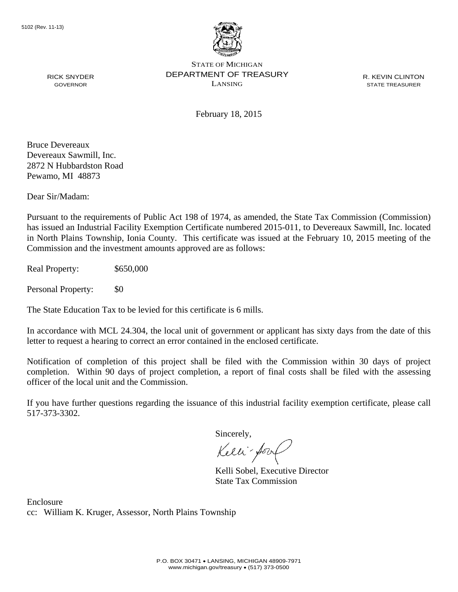

R. KEVIN CLINTON STATE TREASURER

February 18, 2015

Bruce Devereaux Devereaux Sawmill, Inc. 2872 N Hubbardston Road Pewamo, MI 48873

RICK SNYDER GOVERNOR

Dear Sir/Madam:

Pursuant to the requirements of Public Act 198 of 1974, as amended, the State Tax Commission (Commission) has issued an Industrial Facility Exemption Certificate numbered 2015-011, to Devereaux Sawmill, Inc. located in North Plains Township, Ionia County. This certificate was issued at the February 10, 2015 meeting of the Commission and the investment amounts approved are as follows:

Real Property: \$650,000

Personal Property: \$0

The State Education Tax to be levied for this certificate is 6 mills.

In accordance with MCL 24.304, the local unit of government or applicant has sixty days from the date of this letter to request a hearing to correct an error contained in the enclosed certificate.

Notification of completion of this project shall be filed with the Commission within 30 days of project completion. Within 90 days of project completion, a report of final costs shall be filed with the assessing officer of the local unit and the Commission.

If you have further questions regarding the issuance of this industrial facility exemption certificate, please call 517-373-3302.

Sincerely,

Kelli-Sory

Kelli Sobel, Executive Director State Tax Commission

Enclosure cc: William K. Kruger, Assessor, North Plains Township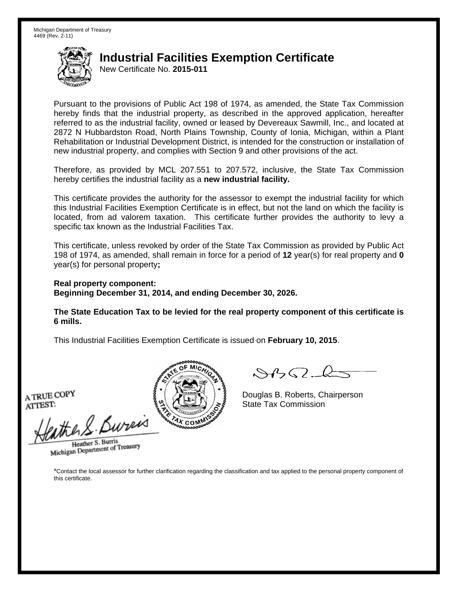New Certificate No. **2015-011**

Pursuant to the provisions of Public Act 198 of 1974, as amended, the State Tax Commission hereby finds that the industrial property, as described in the approved application, hereafter referred to as the industrial facility, owned or leased by Devereaux Sawmill, Inc., and located at 2872 N Hubbardston Road, North Plains Township, County of Ionia, Michigan, within a Plant Rehabilitation or Industrial Development District, is intended for the construction or installation of new industrial property, and complies with Section 9 and other provisions of the act.

Therefore, as provided by MCL 207.551 to 207.572, inclusive, the State Tax Commission hereby certifies the industrial facility as a **new industrial facility.**

This certificate provides the authority for the assessor to exempt the industrial facility for which this Industrial Facilities Exemption Certificate is in effect, but not the land on which the facility is located, from ad valorem taxation. This certificate further provides the authority to levy a specific tax known as the Industrial Facilities Tax.

This certificate, unless revoked by order of the State Tax Commission as provided by Public Act 198 of 1974, as amended, shall remain in force for a period of **12** year(s) for real property and **0** year(s) for personal property**;** 

**Real property component: Beginning December 31, 2014, and ending December 30, 2026.** 

**The State Education Tax to be levied for the real property component of this certificate is 6 mills.**

This Industrial Facilities Exemption Certificate is issued on **February 10, 2015**.

the S. Bures

Heather S. Burris Heather S. Buris<br>Michigan Department of Treasury



 $\mathcal{A}$ 

Douglas B. Roberts, Chairperson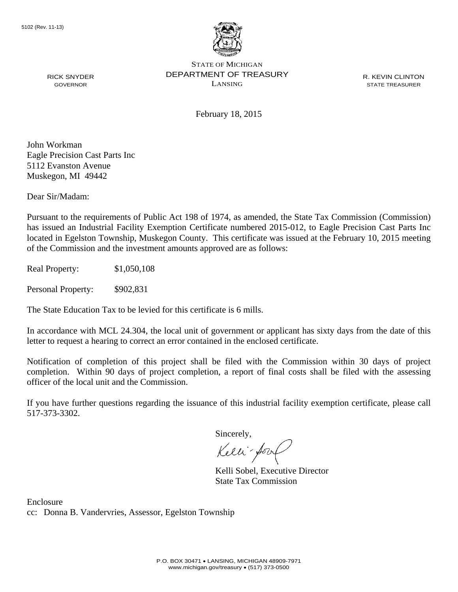

R. KEVIN CLINTON STATE TREASURER

February 18, 2015

John Workman Eagle Precision Cast Parts Inc 5112 Evanston Avenue Muskegon, MI 49442

RICK SNYDER GOVERNOR

Dear Sir/Madam:

Pursuant to the requirements of Public Act 198 of 1974, as amended, the State Tax Commission (Commission) has issued an Industrial Facility Exemption Certificate numbered 2015-012, to Eagle Precision Cast Parts Inc located in Egelston Township, Muskegon County. This certificate was issued at the February 10, 2015 meeting of the Commission and the investment amounts approved are as follows:

Real Property: \$1,050,108

Personal Property: \$902,831

The State Education Tax to be levied for this certificate is 6 mills.

In accordance with MCL 24.304, the local unit of government or applicant has sixty days from the date of this letter to request a hearing to correct an error contained in the enclosed certificate.

Notification of completion of this project shall be filed with the Commission within 30 days of project completion. Within 90 days of project completion, a report of final costs shall be filed with the assessing officer of the local unit and the Commission.

If you have further questions regarding the issuance of this industrial facility exemption certificate, please call 517-373-3302.

Sincerely,

Kelli-Sorr

Kelli Sobel, Executive Director State Tax Commission

Enclosure cc: Donna B. Vandervries, Assessor, Egelston Township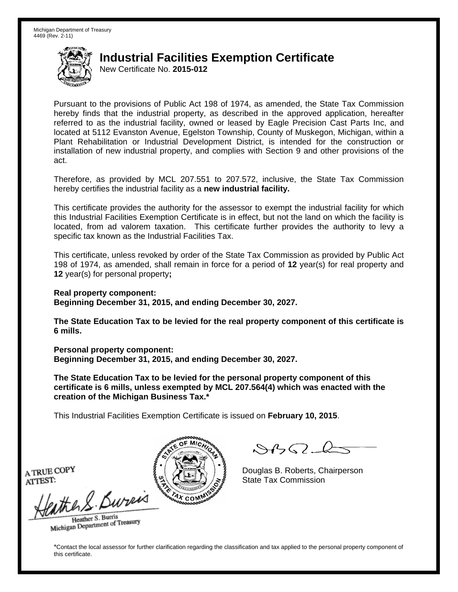New Certificate No. **2015-012**

Pursuant to the provisions of Public Act 198 of 1974, as amended, the State Tax Commission hereby finds that the industrial property, as described in the approved application, hereafter referred to as the industrial facility, owned or leased by Eagle Precision Cast Parts Inc, and located at 5112 Evanston Avenue, Egelston Township, County of Muskegon, Michigan, within a Plant Rehabilitation or Industrial Development District, is intended for the construction or installation of new industrial property, and complies with Section 9 and other provisions of the act.

Therefore, as provided by MCL 207.551 to 207.572, inclusive, the State Tax Commission hereby certifies the industrial facility as a **new industrial facility.**

This certificate provides the authority for the assessor to exempt the industrial facility for which this Industrial Facilities Exemption Certificate is in effect, but not the land on which the facility is located, from ad valorem taxation. This certificate further provides the authority to levy a specific tax known as the Industrial Facilities Tax.

This certificate, unless revoked by order of the State Tax Commission as provided by Public Act 198 of 1974, as amended, shall remain in force for a period of **12** year(s) for real property and **12** year(s) for personal property**;** 

**Real property component:** 

**Beginning December 31, 2015, and ending December 30, 2027.** 

**The State Education Tax to be levied for the real property component of this certificate is 6 mills.**

**Personal property component: Beginning December 31, 2015, and ending December 30, 2027.** 

**The State Education Tax to be levied for the personal property component of this certificate is 6 mills, unless exempted by MCL 207.564(4) which was enacted with the creation of the Michigan Business Tax.\***

This Industrial Facilities Exemption Certificate is issued on **February 10, 2015**.

 $\mathcal{A}_{1} \cap \mathcal{L}_{2}$ 

Douglas B. Roberts, Chairperson A TRUE COPY  $\left\{\mathbb{S} \setminus \left\{\{\pm 1\}\}\right\}\right\}$  Douglas B. Roberts, Charles T.

the & Bureis Heather S. Burris

Heather S. Buris<br>Michigan Department of Treasury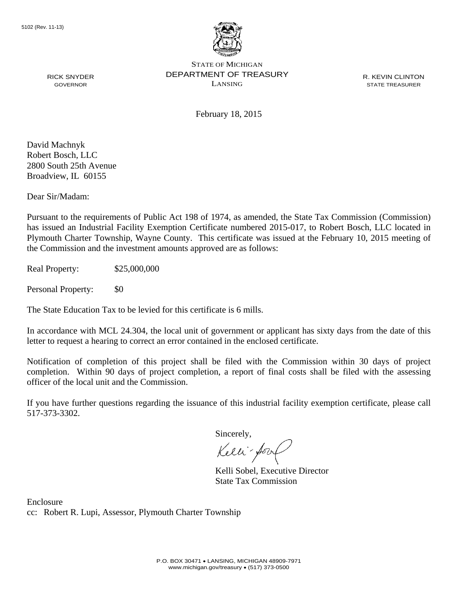

R. KEVIN CLINTON STATE TREASURER

February 18, 2015

David Machnyk Robert Bosch, LLC 2800 South 25th Avenue Broadview, IL 60155

RICK SNYDER GOVERNOR

Dear Sir/Madam:

Pursuant to the requirements of Public Act 198 of 1974, as amended, the State Tax Commission (Commission) has issued an Industrial Facility Exemption Certificate numbered 2015-017, to Robert Bosch, LLC located in Plymouth Charter Township, Wayne County. This certificate was issued at the February 10, 2015 meeting of the Commission and the investment amounts approved are as follows:

Real Property: \$25,000,000

Personal Property: \$0

The State Education Tax to be levied for this certificate is 6 mills.

In accordance with MCL 24.304, the local unit of government or applicant has sixty days from the date of this letter to request a hearing to correct an error contained in the enclosed certificate.

Notification of completion of this project shall be filed with the Commission within 30 days of project completion. Within 90 days of project completion, a report of final costs shall be filed with the assessing officer of the local unit and the Commission.

If you have further questions regarding the issuance of this industrial facility exemption certificate, please call 517-373-3302.

Sincerely,

Kelli-Sory

Kelli Sobel, Executive Director State Tax Commission

Enclosure cc: Robert R. Lupi, Assessor, Plymouth Charter Township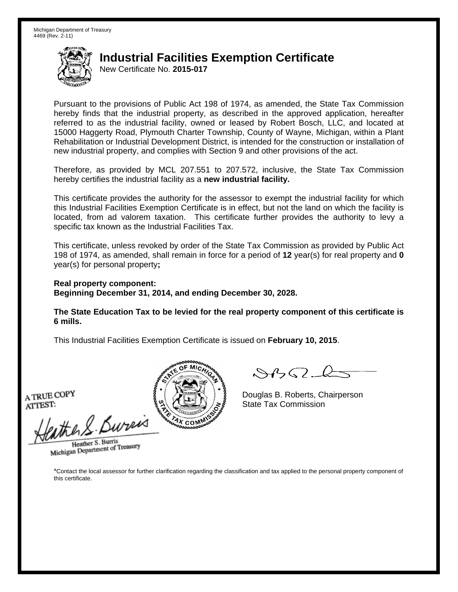New Certificate No. **2015-017**

Pursuant to the provisions of Public Act 198 of 1974, as amended, the State Tax Commission hereby finds that the industrial property, as described in the approved application, hereafter referred to as the industrial facility, owned or leased by Robert Bosch, LLC, and located at 15000 Haggerty Road, Plymouth Charter Township, County of Wayne, Michigan, within a Plant Rehabilitation or Industrial Development District, is intended for the construction or installation of new industrial property, and complies with Section 9 and other provisions of the act.

Therefore, as provided by MCL 207.551 to 207.572, inclusive, the State Tax Commission hereby certifies the industrial facility as a **new industrial facility.**

This certificate provides the authority for the assessor to exempt the industrial facility for which this Industrial Facilities Exemption Certificate is in effect, but not the land on which the facility is located, from ad valorem taxation. This certificate further provides the authority to levy a specific tax known as the Industrial Facilities Tax.

This certificate, unless revoked by order of the State Tax Commission as provided by Public Act 198 of 1974, as amended, shall remain in force for a period of **12** year(s) for real property and **0** year(s) for personal property**;** 

**Real property component: Beginning December 31, 2014, and ending December 30, 2028.** 

**The State Education Tax to be levied for the real property component of this certificate is 6 mills.**

This Industrial Facilities Exemption Certificate is issued on **February 10, 2015**.

the S. Bures

Heather S. Burris Heather S. Buris<br>Michigan Department of Treasury



 $\mathcal{A}$ 

Douglas B. Roberts, Chairperson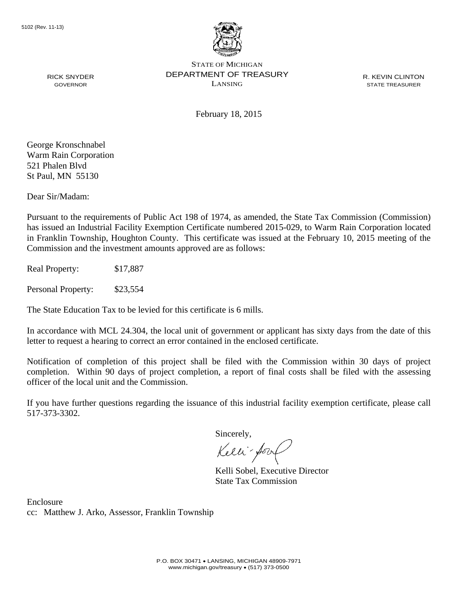

R. KEVIN CLINTON STATE TREASURER

February 18, 2015

George Kronschnabel Warm Rain Corporation 521 Phalen Blvd St Paul, MN 55130

RICK SNYDER GOVERNOR

Dear Sir/Madam:

Pursuant to the requirements of Public Act 198 of 1974, as amended, the State Tax Commission (Commission) has issued an Industrial Facility Exemption Certificate numbered 2015-029, to Warm Rain Corporation located in Franklin Township, Houghton County. This certificate was issued at the February 10, 2015 meeting of the Commission and the investment amounts approved are as follows:

Real Property: \$17,887

Personal Property: \$23,554

The State Education Tax to be levied for this certificate is 6 mills.

In accordance with MCL 24.304, the local unit of government or applicant has sixty days from the date of this letter to request a hearing to correct an error contained in the enclosed certificate.

Notification of completion of this project shall be filed with the Commission within 30 days of project completion. Within 90 days of project completion, a report of final costs shall be filed with the assessing officer of the local unit and the Commission.

If you have further questions regarding the issuance of this industrial facility exemption certificate, please call 517-373-3302.

Sincerely,

Kelli-Sorr

Kelli Sobel, Executive Director State Tax Commission

Enclosure cc: Matthew J. Arko, Assessor, Franklin Township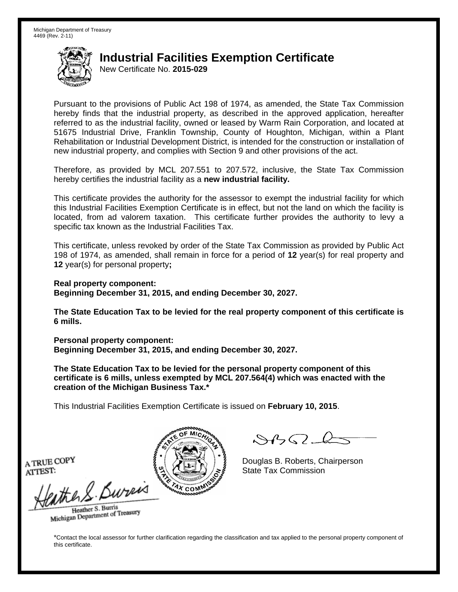New Certificate No. **2015-029**

Pursuant to the provisions of Public Act 198 of 1974, as amended, the State Tax Commission hereby finds that the industrial property, as described in the approved application, hereafter referred to as the industrial facility, owned or leased by Warm Rain Corporation, and located at 51675 Industrial Drive, Franklin Township, County of Houghton, Michigan, within a Plant Rehabilitation or Industrial Development District, is intended for the construction or installation of new industrial property, and complies with Section 9 and other provisions of the act.

Therefore, as provided by MCL 207.551 to 207.572, inclusive, the State Tax Commission hereby certifies the industrial facility as a **new industrial facility.**

This certificate provides the authority for the assessor to exempt the industrial facility for which this Industrial Facilities Exemption Certificate is in effect, but not the land on which the facility is located, from ad valorem taxation. This certificate further provides the authority to levy a specific tax known as the Industrial Facilities Tax.

This certificate, unless revoked by order of the State Tax Commission as provided by Public Act 198 of 1974, as amended, shall remain in force for a period of **12** year(s) for real property and **12** year(s) for personal property**;** 

**Real property component: Beginning December 31, 2015, and ending December 30, 2027.** 

**The State Education Tax to be levied for the real property component of this certificate is 6 mills.**

**Personal property component: Beginning December 31, 2015, and ending December 30, 2027.** 

**The State Education Tax to be levied for the personal property component of this certificate is 6 mills, unless exempted by MCL 207.564(4) which was enacted with the creation of the Michigan Business Tax.\***

This Industrial Facilities Exemption Certificate is issued on **February 10, 2015**.

 $\mathcal{S}4\mathcal{G}$ 

Douglas B. Roberts, Chairperson

Heather S. Burris Heather S. Buris<br>Michigan Department of Treasury

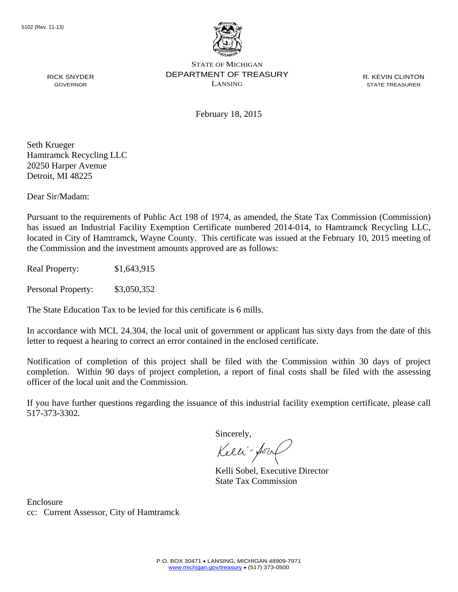

R. KEVIN CLINTON STATE TREASURER

February 18, 2015

Seth Krueger Hamtramck Recycling LLC 20250 Harper Avenue Detroit, MI 48225

RICK SNYDER GOVERNOR

Dear Sir/Madam:

Pursuant to the requirements of Public Act 198 of 1974, as amended, the State Tax Commission (Commission) has issued an Industrial Facility Exemption Certificate numbered 2014-014, to Hamtramck Recycling LLC, located in City of Hamtramck, Wayne County. This certificate was issued at the February 10, 2015 meeting of the Commission and the investment amounts approved are as follows:

Real Property: \$1,643,915

Personal Property: \$3,050,352

The State Education Tax to be levied for this certificate is 6 mills.

In accordance with MCL 24.304, the local unit of government or applicant has sixty days from the date of this letter to request a hearing to correct an error contained in the enclosed certificate.

Notification of completion of this project shall be filed with the Commission within 30 days of project completion. Within 90 days of project completion, a report of final costs shall be filed with the assessing officer of the local unit and the Commission.

If you have further questions regarding the issuance of this industrial facility exemption certificate, please call 517-373-3302.

Sincerely,

Kelli-Sory

Kelli Sobel, Executive Director State Tax Commission

Enclosure cc: Current Assessor, City of Hamtramck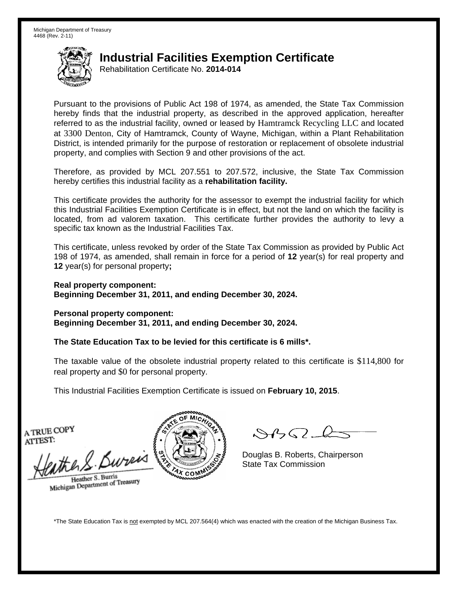Rehabilitation Certificate No. **2014-014**

Pursuant to the provisions of Public Act 198 of 1974, as amended, the State Tax Commission hereby finds that the industrial property, as described in the approved application, hereafter referred to as the industrial facility, owned or leased by Hamtramck Recycling LLC and located at 3300 Denton, City of Hamtramck, County of Wayne, Michigan, within a Plant Rehabilitation District, is intended primarily for the purpose of restoration or replacement of obsolete industrial property, and complies with Section 9 and other provisions of the act.

Therefore, as provided by MCL 207.551 to 207.572, inclusive, the State Tax Commission hereby certifies this industrial facility as a **rehabilitation facility.**

This certificate provides the authority for the assessor to exempt the industrial facility for which this Industrial Facilities Exemption Certificate is in effect, but not the land on which the facility is located, from ad valorem taxation. This certificate further provides the authority to levy a specific tax known as the Industrial Facilities Tax.

This certificate, unless revoked by order of the State Tax Commission as provided by Public Act 198 of 1974, as amended, shall remain in force for a period of **12** year(s) for real property and **12** year(s) for personal property**;** 

**Real property component: Beginning December 31, 2011, and ending December 30, 2024.** 

**Personal property component: Beginning December 31, 2011, and ending December 30, 2024.** 

**The State Education Tax to be levied for this certificate is 6 mills\*.** 

The taxable value of the obsolete industrial property related to this certificate is \$114,800 for real property and \$0 for personal property.

This Industrial Facilities Exemption Certificate is issued on **February 10, 2015**.

A TRUE COPY ATTEST:

the Surveys  $\frac{1}{2}$  S/ Douglas B. Roberts, Ch

Heather S. Burris Heather S. Buris<br>Michigan Department of Treasury



 $\mathcal{A}$ 

Douglas B. Roberts, Chairperson

\*The State Education Tax is not exempted by MCL 207.564(4) which was enacted with the creation of the Michigan Business Tax.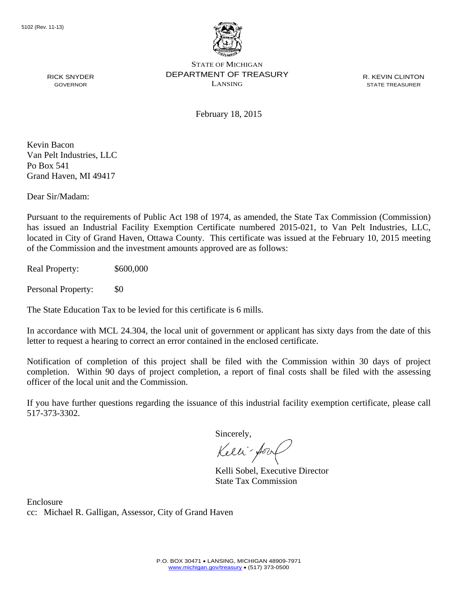

R. KEVIN CLINTON STATE TREASURER

February 18, 2015

Kevin Bacon Van Pelt Industries, LLC Po Box 541 Grand Haven, MI 49417

RICK SNYDER GOVERNOR

Dear Sir/Madam:

Pursuant to the requirements of Public Act 198 of 1974, as amended, the State Tax Commission (Commission) has issued an Industrial Facility Exemption Certificate numbered 2015-021, to Van Pelt Industries, LLC, located in City of Grand Haven, Ottawa County. This certificate was issued at the February 10, 2015 meeting of the Commission and the investment amounts approved are as follows:

Real Property: \$600,000

Personal Property: \$0

The State Education Tax to be levied for this certificate is 6 mills.

In accordance with MCL 24.304, the local unit of government or applicant has sixty days from the date of this letter to request a hearing to correct an error contained in the enclosed certificate.

Notification of completion of this project shall be filed with the Commission within 30 days of project completion. Within 90 days of project completion, a report of final costs shall be filed with the assessing officer of the local unit and the Commission.

If you have further questions regarding the issuance of this industrial facility exemption certificate, please call 517-373-3302.

Sincerely,

Kelli-Sorr

Kelli Sobel, Executive Director State Tax Commission

Enclosure cc: Michael R. Galligan, Assessor, City of Grand Haven